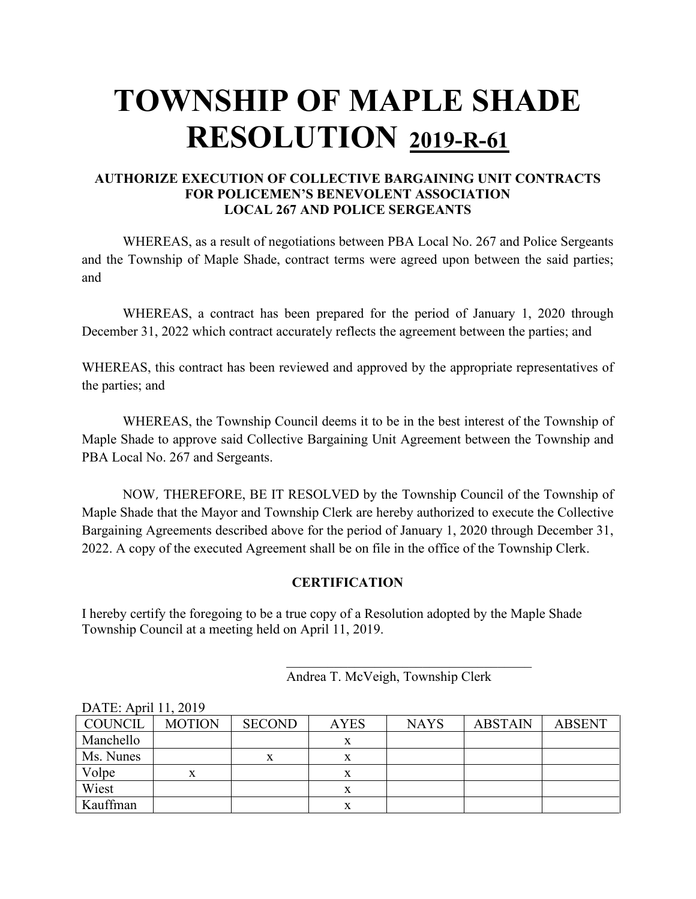# **TOWNSHIP OF MAPLE SHADE RESOLUTION 2019-R-61**

### **AUTHORIZE EXECUTION OF COLLECTIVE BARGAINING UNIT CONTRACTS FOR POLICEMEN'S BENEVOLENT ASSOCIATION LOCAL 267 AND POLICE SERGEANTS**

WHEREAS, as a result of negotiations between PBA Local No. 267 and Police Sergeants and the Township of Maple Shade, contract terms were agreed upon between the said parties; and

WHEREAS, a contract has been prepared for the period of January 1, 2020 through December 31, 2022 which contract accurately reflects the agreement between the parties; and

WHEREAS, this contract has been reviewed and approved by the appropriate representatives of the parties; and

WHEREAS, the Township Council deems it to be in the best interest of the Township of Maple Shade to approve said Collective Bargaining Unit Agreement between the Township and PBA Local No. 267 and Sergeants.

NOW, THEREFORE, BE IT RESOLVED by the Township Council of the Township of Maple Shade that the Mayor and Township Clerk are hereby authorized to execute the Collective Bargaining Agreements described above for the period of January 1, 2020 through December 31, 2022. A copy of the executed Agreement shall be on file in the office of the Township Clerk.

### **CERTIFICATION**

I hereby certify the foregoing to be a true copy of a Resolution adopted by the Maple Shade Township Council at a meeting held on April 11, 2019.

|  |  |  | Andrea T. McVeigh, Township Clerk |  |
|--|--|--|-----------------------------------|--|
|--|--|--|-----------------------------------|--|

 $\overline{\mathcal{L}}$  , and the set of the set of the set of the set of the set of the set of the set of the set of the set of the set of the set of the set of the set of the set of the set of the set of the set of the set of the s

| DAIE: April II, 2019 |               |               |             |             |                |               |  |
|----------------------|---------------|---------------|-------------|-------------|----------------|---------------|--|
| COUNCIL              | <b>MOTION</b> | <b>SECOND</b> | <b>AYES</b> | <b>NAYS</b> | <b>ABSTAIN</b> | <b>ABSENT</b> |  |
| Manchello            |               |               |             |             |                |               |  |
| Ms. Nunes            |               | л             |             |             |                |               |  |
| Volpe                |               |               |             |             |                |               |  |
| Wiest                |               |               |             |             |                |               |  |
| Kauffman             |               |               |             |             |                |               |  |

 $D$   $AB$   $A$   $B$  11, 2010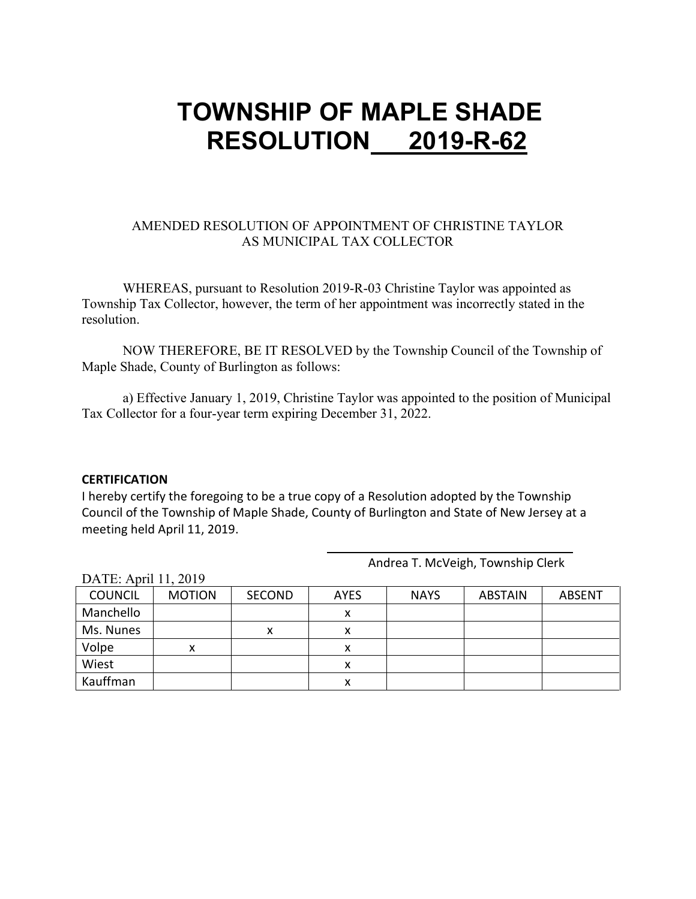### **TOWNSHIP OF MAPLE SHADE RESOLUTION 2019-R-62**

#### AMENDED RESOLUTION OF APPOINTMENT OF CHRISTINE TAYLOR AS MUNICIPAL TAX COLLECTOR

WHEREAS, pursuant to Resolution 2019-R-03 Christine Taylor was appointed as Township Tax Collector, however, the term of her appointment was incorrectly stated in the resolution.

NOW THEREFORE, BE IT RESOLVED by the Township Council of the Township of Maple Shade, County of Burlington as follows:

a) Effective January 1, 2019, Christine Taylor was appointed to the position of Municipal Tax Collector for a four-year term expiring December 31, 2022.

#### **CERTIFICATION**

I hereby certify the foregoing to be a true copy of a Resolution adopted by the Township Council of the Township of Maple Shade, County of Burlington and State of New Jersey at a meeting held April 11, 2019.

| DATE: APIII 11, $\angle$ 019 |               |               |             |             |                |               |
|------------------------------|---------------|---------------|-------------|-------------|----------------|---------------|
| <b>COUNCIL</b>               | <b>MOTION</b> | <b>SECOND</b> | <b>AYES</b> | <b>NAYS</b> | <b>ABSTAIN</b> | <b>ABSENT</b> |
| Manchello                    |               |               | x           |             |                |               |
| Ms. Nunes                    |               | x             | х           |             |                |               |
| Volpe                        | x             |               | ᄉ           |             |                |               |
| Wiest                        |               |               |             |             |                |               |
| Kauffman                     |               |               |             |             |                |               |

DATE: April 11, 2019

Andrea T. McVeigh, Township Clerk